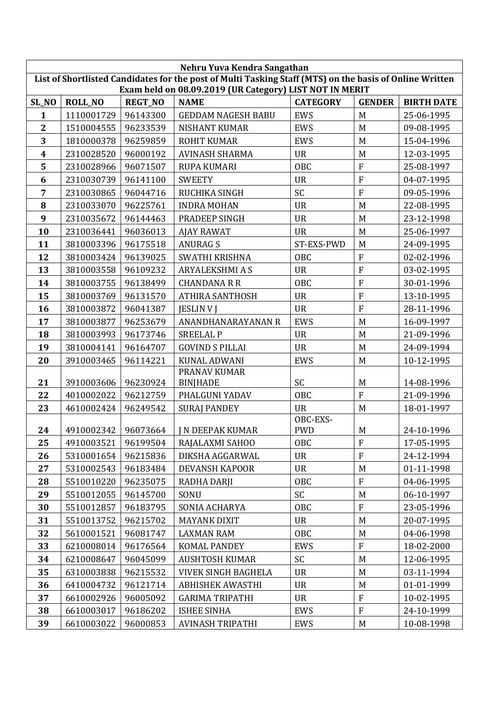| Nehru Yuva Kendra Sangathan                                                                                                                                        |                |                |                           |                       |                           |                   |  |
|--------------------------------------------------------------------------------------------------------------------------------------------------------------------|----------------|----------------|---------------------------|-----------------------|---------------------------|-------------------|--|
| List of Shortlisted Candidates for the post of Multi Tasking Staff (MTS) on the basis of Online Written<br>Exam held on 08.09.2019 (UR Category) LIST NOT IN MERIT |                |                |                           |                       |                           |                   |  |
| SL_NO                                                                                                                                                              | <b>ROLL_NO</b> | <b>REGT_NO</b> | <b>NAME</b>               | <b>CATEGORY</b>       | <b>GENDER</b>             | <b>BIRTH DATE</b> |  |
| $\mathbf{1}$                                                                                                                                                       | 1110001729     | 96143300       | <b>GEDDAM NAGESH BABU</b> | <b>EWS</b>            | M                         | 25-06-1995        |  |
| $\mathbf{2}$                                                                                                                                                       | 1510004555     | 96233539       | <b>NISHANT KUMAR</b>      | <b>EWS</b>            | M                         | 09-08-1995        |  |
| 3                                                                                                                                                                  | 1810000378     | 96259859       | <b>ROHIT KUMAR</b>        | <b>EWS</b>            | M                         | 15-04-1996        |  |
| $\boldsymbol{4}$                                                                                                                                                   | 2310028520     | 96000192       | <b>AVINASH SHARMA</b>     | <b>UR</b>             | M                         | 12-03-1995        |  |
| 5                                                                                                                                                                  | 2310028966     | 96071507       | <b>RUPA KUMARI</b>        | <b>OBC</b>            | $\overline{F}$            | 25-08-1997        |  |
| 6                                                                                                                                                                  | 2310030739     | 96141100       | <b>SWEETY</b>             | <b>UR</b>             | $\overline{F}$            | 04-07-1995        |  |
| 7                                                                                                                                                                  | 2310030865     | 96044716       | RUCHIKA SINGH             | SC                    | $\overline{F}$            | 09-05-1996        |  |
| 8                                                                                                                                                                  | 2310033070     | 96225761       | <b>INDRA MOHAN</b>        | <b>UR</b>             | M                         | 22-08-1995        |  |
| 9                                                                                                                                                                  | 2310035672     | 96144463       | PRADEEP SINGH             | <b>UR</b>             | M                         | 23-12-1998        |  |
| 10                                                                                                                                                                 | 2310036441     | 96036013       | <b>AJAY RAWAT</b>         | <b>UR</b>             | M                         | 25-06-1997        |  |
| 11                                                                                                                                                                 | 3810003396     | 96175518       | <b>ANURAGS</b>            | ST-EXS-PWD            | M                         | 24-09-1995        |  |
| 12                                                                                                                                                                 | 3810003424     | 96139025       | SWATHI KRISHNA            | <b>OBC</b>            | $\overline{F}$            | 02-02-1996        |  |
| 13                                                                                                                                                                 | 3810003558     | 96109232       | ARYALEKSHMI A S           | <b>UR</b>             | ${\bf F}$                 | 03-02-1995        |  |
| 14                                                                                                                                                                 | 3810003755     | 96138499       | <b>CHANDANA R R</b>       | <b>OBC</b>            | $\overline{F}$            | 30-01-1996        |  |
| 15                                                                                                                                                                 | 3810003769     | 96131570       | <b>ATHIRA SANTHOSH</b>    | <b>UR</b>             | $\overline{F}$            | 13-10-1995        |  |
| 16                                                                                                                                                                 | 3810003872     | 96041387       | <b>JESLIN V J</b>         | <b>UR</b>             | $\mathbf F$               | 28-11-1996        |  |
| 17                                                                                                                                                                 | 3810003877     | 96253679       | ANANDHANARAYANAN R        | <b>EWS</b>            | M                         | 16-09-1997        |  |
| 18                                                                                                                                                                 | 3810003993     | 96173746       | <b>SREELAL P</b>          | <b>UR</b>             | M                         | 21-09-1996        |  |
| 19                                                                                                                                                                 | 3810004141     | 96164707       | <b>GOVIND S PILLAI</b>    | <b>UR</b>             | M                         | 24-09-1994        |  |
| 20                                                                                                                                                                 | 3910003465     | 96114221       | <b>KUNAL ADWANI</b>       | <b>EWS</b>            | M                         | 10-12-1995        |  |
|                                                                                                                                                                    |                |                | PRANAV KUMAR              |                       |                           |                   |  |
| 21                                                                                                                                                                 | 3910003606     | 96230924       | <b>BINJHADE</b>           | SC                    | M                         | 14-08-1996        |  |
| 22                                                                                                                                                                 | 4010002022     | 96212759       | PHALGUNI YADAV            | <b>OBC</b>            | $\overline{F}$            | 21-09-1996        |  |
| 23                                                                                                                                                                 | 4610002424     | 96249542       | <b>SURAJ PANDEY</b>       | <b>UR</b><br>OBC-EXS- | M                         | 18-01-1997        |  |
| 24                                                                                                                                                                 | 4910002342     | 96073664       | <b>IN DEEPAK KUMAR</b>    | <b>PWD</b>            | M                         | 24-10-1996        |  |
| 25                                                                                                                                                                 | 4910003521     | 96199504       | RAJALAXMI SAHOO           | OBC                   | ${\bf F}$                 | 17-05-1995        |  |
| 26                                                                                                                                                                 | 5310001654     | 96215836       | DIKSHA AGGARWAL           | UR                    | ${\bf F}$                 | 24-12-1994        |  |
| 27                                                                                                                                                                 | 5310002543     | 96183484       | DEVANSH KAPOOR            | <b>UR</b>             | M                         | 01-11-1998        |  |
| 28                                                                                                                                                                 | 5510010220     | 96235075       | RADHA DARJI               | OBC                   | ${\bf F}$                 | 04-06-1995        |  |
| 29                                                                                                                                                                 | 5510012055     | 96145700       | SONU                      | SC                    | M                         | 06-10-1997        |  |
| 30                                                                                                                                                                 | 5510012857     | 96183795       | SONIA ACHARYA             | OBC                   | $\boldsymbol{\mathrm{F}}$ | 23-05-1996        |  |
| 31                                                                                                                                                                 | 5510013752     | 96215702       | <b>MAYANK DIXIT</b>       | <b>UR</b>             | M                         | 20-07-1995        |  |
| 32                                                                                                                                                                 | 5610001521     | 96081747       | <b>LAXMAN RAM</b>         | OBC                   | M                         | 04-06-1998        |  |
| 33                                                                                                                                                                 | 6210008014     | 96176564       | KOMAL PANDEY              | EWS                   | ${\bf F}$                 | 18-02-2000        |  |
| 34                                                                                                                                                                 | 6210008647     | 96045099       | <b>AUSHTOSH KUMAR</b>     | SC                    | M                         | 12-06-1995        |  |
| 35                                                                                                                                                                 | 6310003838     | 96215532       | VIVEK SINGH BAGHELA       | <b>UR</b>             | M                         | 03-11-1994        |  |
| 36                                                                                                                                                                 | 6410004732     | 96121714       | <b>ABHISHEK AWASTHI</b>   | <b>UR</b>             | M                         | 01-01-1999        |  |
| 37                                                                                                                                                                 | 6610002926     | 96005092       | <b>GARIMA TRIPATHI</b>    | <b>UR</b>             | ${\bf F}$                 | 10-02-1995        |  |
| 38                                                                                                                                                                 | 6610003017     | 96186202       | <b>ISHEE SINHA</b>        | EWS                   | ${\bf F}$                 | 24-10-1999        |  |
| 39                                                                                                                                                                 | 6610003022     | 96000853       | AVINASH TRIPATHI          | EWS                   | M                         | 10-08-1998        |  |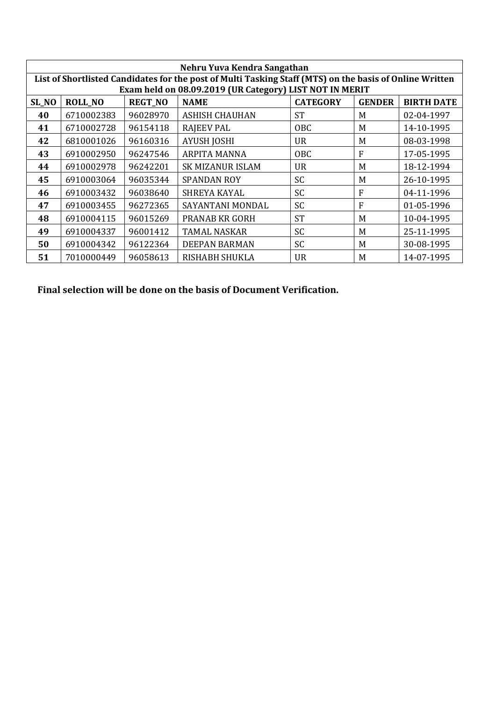| Nehru Yuva Kendra Sangathan |                                                                                                         |                |                                                         |                 |               |                   |  |
|-----------------------------|---------------------------------------------------------------------------------------------------------|----------------|---------------------------------------------------------|-----------------|---------------|-------------------|--|
|                             | List of Shortlisted Candidates for the post of Multi Tasking Staff (MTS) on the basis of Online Written |                |                                                         |                 |               |                   |  |
|                             |                                                                                                         |                | Exam held on 08.09.2019 (UR Category) LIST NOT IN MERIT |                 |               |                   |  |
| SL_NO                       | <b>ROLL NO</b>                                                                                          | <b>REGT_NO</b> | <b>NAME</b>                                             | <b>CATEGORY</b> | <b>GENDER</b> | <b>BIRTH DATE</b> |  |
| 40                          | 6710002383                                                                                              | 96028970       | <b>ASHISH CHAUHAN</b>                                   | <b>ST</b>       | M             | 02-04-1997        |  |
| 41                          | 6710002728                                                                                              | 96154118       | <b>RAJEEV PAL</b>                                       | <b>OBC</b>      | M             | 14-10-1995        |  |
| 42                          | 6810001026                                                                                              | 96160316       | <b>AYUSH JOSHI</b>                                      | <b>UR</b>       | M             | 08-03-1998        |  |
| 43                          | 6910002950                                                                                              | 96247546       | <b>ARPITA MANNA</b>                                     | OBC             | F             | 17-05-1995        |  |
| 44                          | 6910002978                                                                                              | 96242201       | <b>SK MIZANUR ISLAM</b>                                 | <b>UR</b>       | M             | 18-12-1994        |  |
| 45                          | 6910003064                                                                                              | 96035344       | <b>SPANDAN ROY</b>                                      | <b>SC</b>       | M             | 26-10-1995        |  |
| 46                          | 6910003432                                                                                              | 96038640       | SHREYA KAYAL                                            | <b>SC</b>       | F             | 04-11-1996        |  |
| 47                          | 6910003455                                                                                              | 96272365       | SAYANTANI MONDAL                                        | <b>SC</b>       | F             | 01-05-1996        |  |
| 48                          | 6910004115                                                                                              | 96015269       | <b>PRANAB KR GORH</b>                                   | <b>ST</b>       | M             | 10-04-1995        |  |
| 49                          | 6910004337                                                                                              | 96001412       | <b>TAMAL NASKAR</b>                                     | <b>SC</b>       | M             | 25-11-1995        |  |
| 50                          | 6910004342                                                                                              | 96122364       | <b>DEEPAN BARMAN</b>                                    | <b>SC</b>       | M             | 30-08-1995        |  |
| 51                          | 7010000449                                                                                              | 96058613       | RISHABH SHUKLA                                          | <b>UR</b>       | M             | 14-07-1995        |  |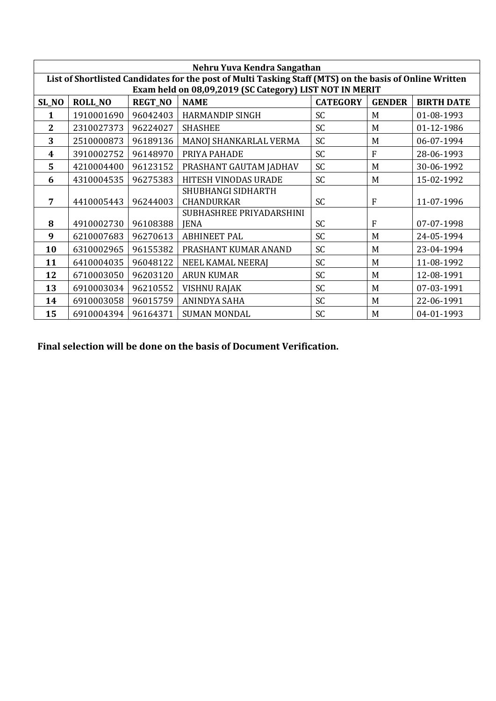|              | Nehru Yuva Kendra Sangathan                                                                             |                |                          |                 |               |                   |  |  |  |
|--------------|---------------------------------------------------------------------------------------------------------|----------------|--------------------------|-----------------|---------------|-------------------|--|--|--|
|              | List of Shortlisted Candidates for the post of Multi Tasking Staff (MTS) on the basis of Online Written |                |                          |                 |               |                   |  |  |  |
|              | Exam held on 08,09,2019 (SC Category) LIST NOT IN MERIT                                                 |                |                          |                 |               |                   |  |  |  |
| SL_NO        | <b>ROLL_NO</b>                                                                                          | <b>REGT_NO</b> | <b>NAME</b>              | <b>CATEGORY</b> | <b>GENDER</b> | <b>BIRTH DATE</b> |  |  |  |
| 1            | 1910001690                                                                                              | 96042403       | <b>HARMANDIP SINGH</b>   | <b>SC</b>       | M             | 01-08-1993        |  |  |  |
| $\mathbf{2}$ | 2310027373                                                                                              | 96224027       | <b>SHASHEE</b>           | SC              | M             | 01-12-1986        |  |  |  |
| 3            | 2510000873                                                                                              | 96189136       | MANOJ SHANKARLAL VERMA   | <b>SC</b>       | M             | 06-07-1994        |  |  |  |
| 4            | 3910002752                                                                                              | 96148970       | PRIYA PAHADE             | <b>SC</b>       | F             | 28-06-1993        |  |  |  |
| 5            | 4210004400                                                                                              | 96123152       | PRASHANT GAUTAM JADHAV   | <b>SC</b>       | M             | 30-06-1992        |  |  |  |
| 6            | 4310004535                                                                                              | 96275383       | HITESH VINODAS URADE     | <b>SC</b>       | M             | 15-02-1992        |  |  |  |
|              |                                                                                                         |                | SHUBHANGI SIDHARTH       |                 |               |                   |  |  |  |
| 7            | 4410005443                                                                                              | 96244003       | <b>CHANDURKAR</b>        | <b>SC</b>       | F             | 11-07-1996        |  |  |  |
|              |                                                                                                         |                | SUBHASHREE PRIYADARSHINI |                 |               |                   |  |  |  |
| 8            | 4910002730                                                                                              | 96108388       | <b>JENA</b>              | <b>SC</b>       | F             | 07-07-1998        |  |  |  |
| 9            | 6210007683                                                                                              | 96270613       | <b>ABHINEET PAL</b>      | <b>SC</b>       | M             | 24-05-1994        |  |  |  |
| 10           | 6310002965                                                                                              | 96155382       | PRASHANT KUMAR ANAND     | <b>SC</b>       | M             | 23-04-1994        |  |  |  |
| 11           | 6410004035                                                                                              | 96048122       | <b>NEEL KAMAL NEERAJ</b> | <b>SC</b>       | M             | 11-08-1992        |  |  |  |
| 12           | 6710003050                                                                                              | 96203120       | <b>ARUN KUMAR</b>        | <b>SC</b>       | M             | 12-08-1991        |  |  |  |
| 13           | 6910003034                                                                                              | 96210552       | <b>VISHNU RAJAK</b>      | <b>SC</b>       | M             | 07-03-1991        |  |  |  |
| 14           | 6910003058                                                                                              | 96015759       | ANINDYA SAHA             | SC              | M             | 22-06-1991        |  |  |  |
| 15           | 6910004394                                                                                              | 96164371       | <b>SUMAN MONDAL</b>      | <b>SC</b>       | M             | 04-01-1993        |  |  |  |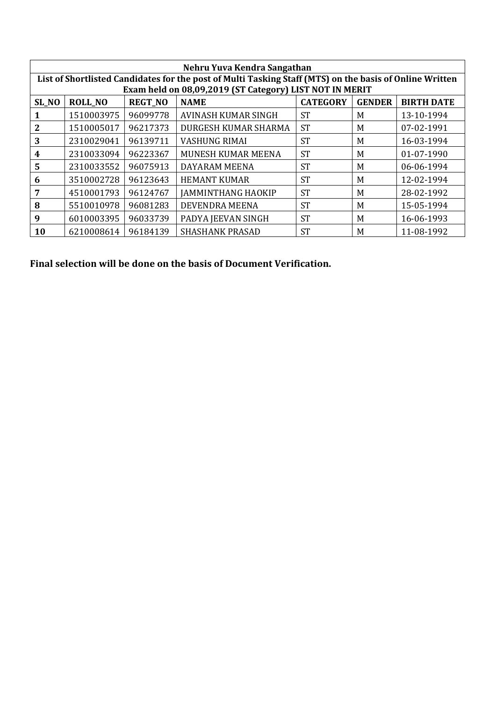| Nehru Yuva Kendra Sangathan |                                                                                                          |          |                                                         |           |   |            |  |  |
|-----------------------------|----------------------------------------------------------------------------------------------------------|----------|---------------------------------------------------------|-----------|---|------------|--|--|
|                             | List of Shortlisted Candidates for the post of Multi Tasking Staff (MTS) on the basis of Online Written  |          |                                                         |           |   |            |  |  |
|                             |                                                                                                          |          | Exam held on 08,09,2019 (ST Category) LIST NOT IN MERIT |           |   |            |  |  |
| SL_NO                       | <b>CATEGORY</b><br><b>REGT_NO</b><br><b>NAME</b><br><b>GENDER</b><br><b>BIRTH DATE</b><br><b>ROLL_NO</b> |          |                                                         |           |   |            |  |  |
|                             | 1510003975                                                                                               | 96099778 | <b>AVINASH KUMAR SINGH</b>                              | <b>ST</b> | M | 13-10-1994 |  |  |
| 2                           | 1510005017                                                                                               | 96217373 | DURGESH KUMAR SHARMA                                    | <b>ST</b> | M | 07-02-1991 |  |  |
| 3                           | 2310029041                                                                                               | 96139711 | <b>VASHUNG RIMAI</b>                                    | <b>ST</b> | M | 16-03-1994 |  |  |
| 4                           | 2310033094                                                                                               | 96223367 | MUNESH KUMAR MEENA                                      | <b>ST</b> | M | 01-07-1990 |  |  |
| 5                           | 2310033552                                                                                               | 96075913 | DAYARAM MEENA                                           | <b>ST</b> | M | 06-06-1994 |  |  |
| 6                           | 3510002728                                                                                               | 96123643 | <b>HEMANT KUMAR</b>                                     | <b>ST</b> | M | 12-02-1994 |  |  |
|                             | 4510001793                                                                                               | 96124767 | <b>JAMMINTHANG HAOKIP</b>                               | <b>ST</b> | M | 28-02-1992 |  |  |
| 8                           | 5510010978                                                                                               | 96081283 | DEVENDRA MEENA                                          | <b>ST</b> | M | 15-05-1994 |  |  |
| 9                           | 6010003395                                                                                               | 96033739 | PADYA JEEVAN SINGH                                      | <b>ST</b> | M | 16-06-1993 |  |  |
| 10                          | 6210008614                                                                                               | 96184139 | <b>SHASHANK PRASAD</b>                                  | <b>ST</b> | M | 11-08-1992 |  |  |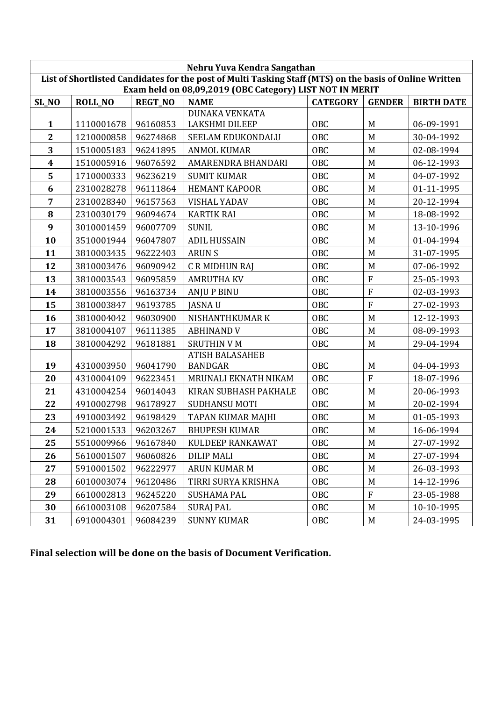| Nehru Yuva Kendra Sangathan                                                                             |                |                |                                                          |                 |                |                   |  |
|---------------------------------------------------------------------------------------------------------|----------------|----------------|----------------------------------------------------------|-----------------|----------------|-------------------|--|
| List of Shortlisted Candidates for the post of Multi Tasking Staff (MTS) on the basis of Online Written |                |                |                                                          |                 |                |                   |  |
|                                                                                                         |                |                | Exam held on 08,09,2019 (OBC Category) LIST NOT IN MERIT |                 |                |                   |  |
| SL_NO                                                                                                   | <b>ROLL_NO</b> | <b>REGT_NO</b> | <b>NAME</b>                                              | <b>CATEGORY</b> | <b>GENDER</b>  | <b>BIRTH DATE</b> |  |
|                                                                                                         |                |                | <b>DUNAKA VENKATA</b>                                    |                 | M              |                   |  |
| $\mathbf{1}$                                                                                            | 1110001678     | 96160853       | <b>LAKSHMI DILEEP</b>                                    | OBC             |                | 06-09-1991        |  |
| $\mathbf{2}$                                                                                            | 1210000858     | 96274868       | SEELAM EDUKONDALU                                        | <b>OBC</b>      | M              | 30-04-1992        |  |
| 3                                                                                                       | 1510005183     | 96241895       | <b>ANMOL KUMAR</b>                                       | OBC             | M              | 02-08-1994        |  |
| $\overline{\mathbf{4}}$                                                                                 | 1510005916     | 96076592       | AMARENDRA BHANDARI                                       | <b>OBC</b>      | M              | 06-12-1993        |  |
| 5                                                                                                       | 1710000333     | 96236219       | <b>SUMIT KUMAR</b>                                       | OBC             | M              | 04-07-1992        |  |
| 6                                                                                                       | 2310028278     | 96111864       | <b>HEMANT KAPOOR</b>                                     | <b>OBC</b>      | M              | 01-11-1995        |  |
| 7                                                                                                       | 2310028340     | 96157563       | <b>VISHAL YADAV</b>                                      | OBC             | M              | 20-12-1994        |  |
| 8                                                                                                       | 2310030179     | 96094674       | <b>KARTIK RAI</b>                                        | <b>OBC</b>      | M              | 18-08-1992        |  |
| 9                                                                                                       | 3010001459     | 96007709       | <b>SUNIL</b>                                             | <b>OBC</b>      | M              | 13-10-1996        |  |
| 10                                                                                                      | 3510001944     | 96047807       | <b>ADIL HUSSAIN</b>                                      | <b>OBC</b>      | M              | 01-04-1994        |  |
| 11                                                                                                      | 3810003435     | 96222403       | <b>ARUNS</b>                                             | <b>OBC</b>      | M              | 31-07-1995        |  |
| 12                                                                                                      | 3810003476     | 96090942       | C R MIDHUN RAJ                                           | OBC             | M              | 07-06-1992        |  |
| 13                                                                                                      | 3810003543     | 96095859       | <b>AMRUTHA KV</b>                                        | <b>OBC</b>      | $\overline{F}$ | 25-05-1993        |  |
| 14                                                                                                      | 3810003556     | 96163734       | <b>ANJU P BINU</b>                                       | <b>OBC</b>      | $\mathbf F$    | 02-03-1993        |  |
| 15                                                                                                      | 3810003847     | 96193785       | <b>JASNAU</b>                                            | OBC             | $\overline{F}$ | 27-02-1993        |  |
| 16                                                                                                      | 3810004042     | 96030900       | NISHANTHKUMAR K                                          | <b>OBC</b>      | M              | 12-12-1993        |  |
| 17                                                                                                      | 3810004107     | 96111385       | <b>ABHINAND V</b>                                        | OBC             | M              | 08-09-1993        |  |
| 18                                                                                                      | 3810004292     | 96181881       | <b>SRUTHIN V M</b>                                       | OBC             | M              | 29-04-1994        |  |
|                                                                                                         |                |                | <b>ATISH BALASAHEB</b>                                   |                 |                |                   |  |
| 19                                                                                                      | 4310003950     | 96041790       | <b>BANDGAR</b>                                           | <b>OBC</b>      | M              | 04-04-1993        |  |
| 20                                                                                                      | 4310004109     | 96223451       | MRUNALI EKNATH NIKAM                                     | <b>OBC</b>      | $\overline{F}$ | 18-07-1996        |  |
| 21                                                                                                      | 4310004254     | 96014043       | KIRAN SUBHASH PAKHALE                                    | OBC             | M              | 20-06-1993        |  |
| 22                                                                                                      | 4910002798     | 96178927       | <b>SUDHANSU MOTI</b>                                     | OBC             | M              | 20-02-1994        |  |
| 23                                                                                                      | 4910003492     | 96198429       | TAPAN KUMAR MAJHI                                        | <b>OBC</b>      | M              | 01-05-1993        |  |
| 24                                                                                                      | 5210001533     | 96203267       | <b>BHUPESH KUMAR</b>                                     | <b>OBC</b>      | M              | 16-06-1994        |  |
| 25                                                                                                      | 5510009966     | 96167840       | KULDEEP RANKAWAT                                         | OBC             | M              | 27-07-1992        |  |
| 26                                                                                                      | 5610001507     | 96060826       | <b>DILIP MALI</b>                                        | OBC             | M              | 27-07-1994        |  |
| 27                                                                                                      | 5910001502     | 96222977       | <b>ARUN KUMAR M</b>                                      | OBC             | M              | 26-03-1993        |  |
| 28                                                                                                      | 6010003074     | 96120486       | TIRRI SURYA KRISHNA                                      | OBC             | M              | 14-12-1996        |  |
| 29                                                                                                      | 6610002813     | 96245220       | <b>SUSHAMA PAL</b>                                       | OBC             | $\rm F$        | 23-05-1988        |  |
| 30                                                                                                      | 6610003108     | 96207584       | <b>SURAJ PAL</b>                                         | OBC             | M              | 10-10-1995        |  |
| 31                                                                                                      | 6910004301     | 96084239       | <b>SUNNY KUMAR</b>                                       | OBC             | M              | 24-03-1995        |  |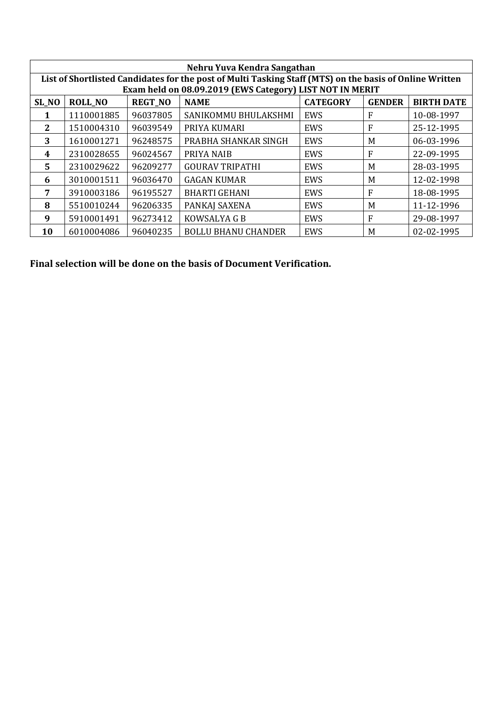| Nehru Yuva Kendra Sangathan |                |                |                                                                                                         |                 |               |                   |
|-----------------------------|----------------|----------------|---------------------------------------------------------------------------------------------------------|-----------------|---------------|-------------------|
|                             |                |                | List of Shortlisted Candidates for the post of Multi Tasking Staff (MTS) on the basis of Online Written |                 |               |                   |
|                             |                |                | Exam held on 08.09.2019 (EWS Category) LIST NOT IN MERIT                                                |                 |               |                   |
| SL_NO                       | <b>ROLL_NO</b> | <b>REGT_NO</b> | <b>NAME</b>                                                                                             | <b>CATEGORY</b> | <b>GENDER</b> | <b>BIRTH DATE</b> |
| 1                           | 1110001885     | 96037805       | SANIKOMMU BHULAKSHMI                                                                                    | EWS             | F             | 10-08-1997        |
| 2                           | 1510004310     | 96039549       | PRIYA KUMARI                                                                                            | EWS             | F             | 25-12-1995        |
| 3                           | 1610001271     | 96248575       | PRABHA SHANKAR SINGH                                                                                    | EWS             | M             | 06-03-1996        |
| 4                           | 2310028655     | 96024567       | PRIYA NAIB                                                                                              | EWS             | F             | 22-09-1995        |
| 5.                          | 2310029622     | 96209277       | <b>GOURAV TRIPATHI</b>                                                                                  | EWS             | M             | 28-03-1995        |
| 6                           | 3010001511     | 96036470       | <b>GAGAN KUMAR</b>                                                                                      | EWS             | M             | 12-02-1998        |
| 7                           | 3910003186     | 96195527       | <b>BHARTI GEHANI</b>                                                                                    | EWS             | F             | 18-08-1995        |
| 8                           | 5510010244     | 96206335       | PANKAJ SAXENA                                                                                           | EWS             | M             | 11-12-1996        |
| 9                           | 5910001491     | 96273412       | KOWSALYA G B                                                                                            | EWS             | F             | 29-08-1997        |
| 10                          | 6010004086     | 96040235       | <b>BOLLU BHANU CHANDER</b>                                                                              | EWS             | M             | 02-02-1995        |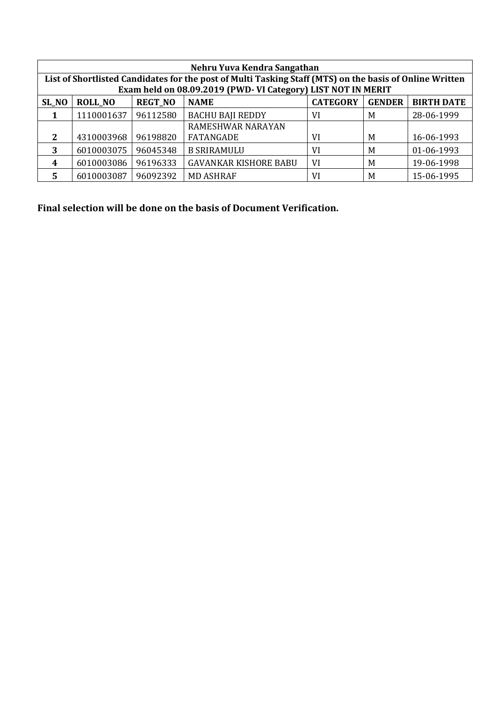| Nehru Yuva Kendra Sangathan                                                                  |                                                                                                         |          |                                                             |    |   |            |  |  |  |
|----------------------------------------------------------------------------------------------|---------------------------------------------------------------------------------------------------------|----------|-------------------------------------------------------------|----|---|------------|--|--|--|
|                                                                                              | List of Shortlisted Candidates for the post of Multi Tasking Staff (MTS) on the basis of Online Written |          |                                                             |    |   |            |  |  |  |
|                                                                                              |                                                                                                         |          | Exam held on 08.09.2019 (PWD-VI Category) LIST NOT IN MERIT |    |   |            |  |  |  |
| <b>REGT_NO</b><br><b>CATEGORY</b><br><b>GENDER</b><br><b>ROLL NO</b><br><b>NAME</b><br>SL_NO |                                                                                                         |          |                                                             |    |   |            |  |  |  |
|                                                                                              | 1110001637                                                                                              | 96112580 | <b>BACHU BAJI REDDY</b>                                     | VI | M | 28-06-1999 |  |  |  |
|                                                                                              |                                                                                                         |          | RAMESHWAR NARAYAN                                           |    |   |            |  |  |  |
| 2                                                                                            | 4310003968                                                                                              | 96198820 | FATANGADE                                                   | VI | M | 16-06-1993 |  |  |  |
| 3                                                                                            | 6010003075                                                                                              | 96045348 | <b>B SRIRAMULU</b>                                          | VI | M | 01-06-1993 |  |  |  |
| 4                                                                                            | 6010003086                                                                                              | 96196333 | <b>GAVANKAR KISHORE BABU</b>                                | VI | M | 19-06-1998 |  |  |  |
|                                                                                              | 6010003087                                                                                              | 96092392 | <b>MD ASHRAF</b>                                            | VI | M | 15-06-1995 |  |  |  |